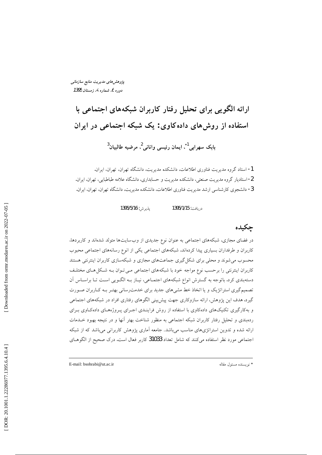پژوهش های مدیریت منابع سازمانی دوره 6، شماره 4، زمستان 1395

ارائه الگویی برای تحلیل رفتار کاربران شبکههای اجتماعی با استفاده از روشهای دادهکاوی: یک شبکه اجتماعی در ایران بابک سهرابی<sup>1</sup>ٌ، ایمان رئیسی وانانی<sup>2</sup>، مرضیه طالبیان<sup>3</sup>

1- استاد گروه مدیریت فناوری اطلاعات، دانشکده مدیریت، دانشگاه تهران، تهران، ایران. 2- استادیار گروه مدیریت صنعتی، دانشکده مدیریت و حسابداری، دانشگاه علامه طباطبایی، تهران، ایران. 3- دانشجوی کارشناسی ارشد مدیریت فناوری اطلاعات، دانشکده مدیریت، دانشگاه تهران، تهران، ایران.

> پذيرش: 1395/5/16 در بافت: 1395/1/15

## حكىدە

در فضای مجازی، شبکههای اجتماعی به عنوان نوع جدیدی از وبسایتها متولد شدهاند و کاربردها، کاربران و طرفداران بسیاری پیدا کردهاند. شبکههای اجتماعی یکی از انوع رسانههای اجتماعی محبوب محسوب می شوند و محلی برای شکل گیری جماعتهای مجازی و شبکهسازی کاربران اینترنتی هستند کاربران اینترنتی را برحسب نوع مواجه خود با شبکههای اجتماعی مـی تـوان بـه شـکل هـای مختلـف دستهبندی کرد. باتوجه به گسترش انواع شبکههای اجتمـاعی، نیـاز بـه الگـویی اسـت تـا براسـاس أن تصمیم گیری استراتژیک و یا اتخاذ خط مشی های جدید برای خدمت رسانی بهتـر بـه کـاربران صـورت گیرد. هدف این پژوهش، ارائه سازوکاری جهت پیش بینی الگوهای رفتاری افراد در شبکههای اجتماعی و به کارگیری تکنیکهای دادهکاوی با استفاده از روش فراینـدی اجـرای پـروژههـای دادهکاوی بـرای ردهبندی و تحلیل رفتار کاربران شبکه اجتماعی به منظور شناخت بهتر آنها و در نتیجه بهبود خــدمات ارائه شده و تدوین استراتژیهای مناسب میباشد. جامعه آماری پژوهش کاربرانی میباشد که از شبکه اجتماعی مورد نظر استفاده میکنند که شامل تعداد 31033 کاربر فعال است. درک صحیح از الگوهـای

E-mail: bsohrabi@ut.ac.ir

\* نويسنده مسئول مقاله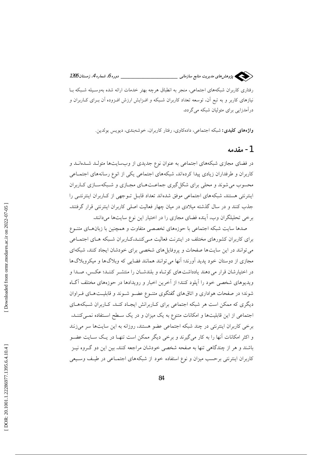\_\_ دوره 6، شماره 4، زمستان 1395 سیسی پژوهش های مدیریت منابع سازمانی \_

رفتاری کاربران شبکههای اجتماعی، منجر به انطباق هرچه بهتر خدمات ارائه شده بهوسـیله شـبکه بـا نیازهای کاربر و به تبع آن، توسعه تعداد کاربران شـبکه و افـزایش ارزش افـزوده آن بـرای کـاربران و درآمدزایی برای متولیان شبکه می گردد.

واژههای کلیدی: شبکه اجتماعی، دادهکاوی، رفتار کاربران، خوشهبندی، دیویس بولدین.

## 1- مقدمه

در فضای مجازی شبکههای اجتماعی به عنوان نوع جدیدی از وبسایتها متولـد شــدهانــد و کاربران و طرفداران زیادی پیدا کردهاند. شبکههای اجتماعی یکی از انوع رسانههای اجتمـاعی محسوب می شوند و محلی برای شکل گیری جماعت هـای مجـازی و شـبکهسـازی کــاربران اینترنتی هستند. شبکههای اجتماعی موفق شدهاند تعداد قابـل تـوجهی از کـاربران اینترنتـی را جذب کنند و در سال گذشته میلادی در میان چهار فعالیت اصلی کاربران اینترنتی قرار گرفتند. برخی تحلیلگران وب، اّینده فضای مجازی را در اختیار این نوع سایتها میدانند.

صدها سایت شبکه اجتماعی با حوزههای تخصصی متفاوت و همچنین با زبان های متنوع برای کاربران کشورهای مختلف در اینترنت فعالیت مـی کننـد.کــاربران شـبکه هــای اجتمــاعی می توانند در این سایتها صفحات و پروفایل های شخصی برای خودشان ایجاد کنند، شبکهای مجازی از دوستان خود پدید آورند؛ آنها می توانند همانند فضایی که وبلاگها و میکروبلاگها در اختیارشان قرار می دهند یادداشت های کوتاه و بلندشـان را منتشـر کننـد؛ عکـس، صـدا و ویدیوهای شخصی خود را آپلود کنند؛ از آخرین اخبار و رویدادها در حوزههای مختلف آگIه شوند؛ در صفحات هواداری و اتاق های گفتگوی متنــوع عضــو شــوند و قابلیــت هــای فــراوان دیگری که ممکن است هر شبکه اجتماعی برای کـاربرانش ایجـاد کنـد. کـاربران شـبکههـای اجتماعی از این قابلیتها و امکانات متنوع به یک میزان و در یک سـطح اسـتفاده نمـیکننـد. برخی کاربران اینترنتی در چند شبکه اجتماعی عضو هستند، روزانه به این سایتها سر میزنند و اکثر امکانات آنها را به کار میگیرند و برخی دیگر ممکن است تنهـا در یـک سـایت عضـو باشند و هر از چندگاهی تنها به صفحه شخصی خودشان مراجعه کنند. بین این دو گـروه نیـز کاربران اینترنتی برحسب میزان و نوع استفاده خود از شبکههای اجتمـاعی در طیـف وسـیعی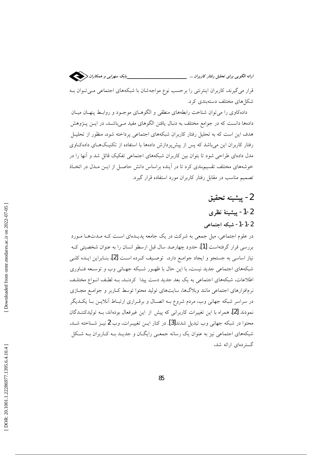قرار می گیرند. کاربران اینترنتی را برحسب نوع مواجهشان با شبکههای اجتماعی مـی تـوان بـه

شکل های مختلف دستهبندی کرد. داده کاوی را می توان شناخت رابطههای منطقی و الگوهـای موجـود و روابـط پنهـان میـان

دادهها دانست که در جوامع مختلف به دنبال یافتن الگوهای مفید مـیباشــد. در ایــن پــژوهش هدف این است که به تحلیل رفتار کاربران شبکههای اجتماعی پرداخته شود. منظور از تحلیـل رفتار کاربران این می باشد که پس از پیش پردازش دادهها با استفاده از تکنیکهای دادهکاوی مدل دادهای طراحی شود تا بتوان بین کاربران شبکههای اجتماعی تفکیک قائل شد و آنها را در خوشههای مختلف تقسیمبندی کرد تا در اینده براساس دانش حاصـل از ایـن مـدل در اتخـاذ تصمیم مناسب در مقابل رفتار کاربران مورد استفاده قرار گیرد.

2- پيشينه تحقيق

## 1-2- پیشینهٔ نظری 2-1-1- شبكه اجتماعي

در علوم اجتماعی، میل جمعی به شرکت در یک جامعه پدیـدهای اسـت کـه مـدتهـا مـورد بررسی قرار گرفتهاست [1]. حدود چهارصد سال قبل ارسطو انسان را به عنوان شخصیتی کـه نیاز اساسی به جستجو و ایجاد جوامـع دارد، توصـیف کـرده اسـت [2]. بنــابراین ایــده کلــی شبکههای اجتماعی جدید نیست. با این حال با ظهـور شـبکه جهـانی وب و توسـعه فنـاوری اطلاعات، شبکههای اجتماعی به یک بعد جدید دست پیدا کردنـد. بـه لطـف انـواع مختلـف نرمافزارهای اجتماعی مانند وبلاگها، سایتهای تولید محتوا توسط کـاربر و جوامـع مجـازی در سراسر شبکه جهانی وب، مردم شروع بــه اتصــال و برقــراری ارتبــاط آنلایــن بــا یکــدیگر نمودند [2]. همراه با این تغییرات کاربرانی که پیش از این غیرفعال بودهاند، بـه تولیدکننـدگان محتوا در شبکه جهانی وب تبدیل شدند[3]. در کنار ایـن تغییـرات، وب 2 نیـز شـناخته شـد. شبکههای اجتماعی نیز به عنوان یک رسانه جمعـی رایگـان و جدیـد بـه کـاربران بـه شـکل گستر دهای ارائه شد.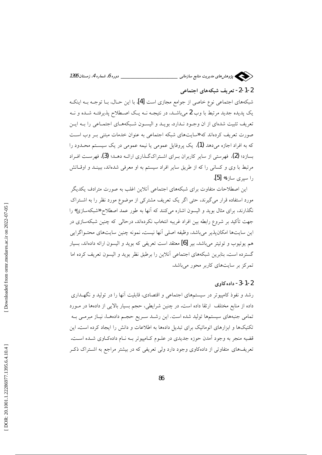

### 2-1-2- تعریف شبکههای اجتماعی

شبکههای اجتماعی نوع خاصی از جوامع مجازی است [4]. با این حــال، بــا توجــه بــه اینکــه یک پدیده جدید مرتبط با وب 2 میباشـد، در نتیجــه نــه یــک اصــطلاح پذیرفتــه شــده و نــه تعریف تثبیت شدهای از ان وجـود نـدارد. بویـد و الیسـون شـبکههـای اجتمـاعی را بـه ایـن صورت تعریف کردهاند که «سایتهای شبکه اجتماعی به عنوان خدمات مبتنی بـر وب اسـت که به افراد اجازه می دهد (1)، یک پروفایل عمومی یا نیمه عمومی در یک سیسـتم محـدود را بسازد؛ (2)، فهرستی از سایر کاربران بـرای اشـتراکگـذاری ارائــه دهــد؛ (3)، فهرســت افــراد مرتبط با وی و کسانی را که از طریق سایر افراد سیستم به او معرفی شدهاند، ببینـد و اوقـاتش را سيږي سازد» [5].

این اصطلاحات متفاوت برای شبکههای اجتماعی آنلاین اغلب به صورت مترادف یکدیگر مورد استفاده قرار می گیرند، حتی اگر یک تعریف مشترکی از موضوع مورد نظر را به اشتراک نگذارند، برای مثال بوید و الیسون اشاره میکنند که آنها به طور عمد اصطلاح «شبکهسازی» را جهت تأکید بر شروع رابطه بین افراد غریبه انتخاب نکردهاند. درحالی که چنین شبکهسازی در اين سايتها امكانپذير ميباشد، وظيفه اصلي آنها نيست. نمونه چنين سايتهاي محتـواگرايي هم يوتيوب و توئيتر مي باشد. بير [6] معتقد است تعريفي كه بويد و اليسون ارائه دادهاند، بسيار گسترده است. بنابرین شبکههای اجتماعی آنلاین را برطبق نظر بوید و الیسون تعریف کرده اما تمرکز بر سایتهای کاربر محور میباشد.

#### 2-1-3- داده كاوى

رشد و نفوذ کامپیوتر در سیستمهای اجتماعی و اقتصادی، قابلیت آنها را در تولید و نگهـداری داده از منابع مختلف ارتقا داده است. در چنین شرایطی، حجم بسیار بالایی از دادهها در مـورد تمامی جنبههای سیستمها تولید شده است. این رشـد سـریع حجـم دادههـا، نیـاز مبرمـی بـه تکنیکها و ابزارهای اتوماتیک برای تبدیل دادهها به اطلاعات و دانش را ایجاد کرده است. این قضیه منجر به وجود آمدن حوزه جدیدی در علـوم کـامپیوتر بـه نـام دادهکـاوی شـده اسـت. تعریفهای متفاوتی از دادهکاوی وجود دارد ولی تعریفی که در بیشتر مراجع به اشـتراک ذکـر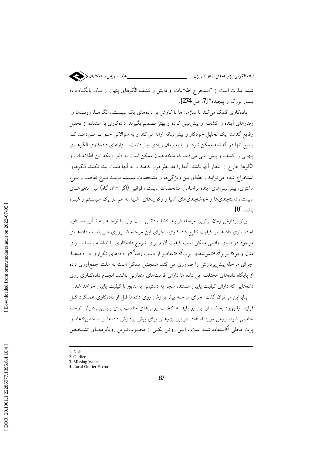

شده عبارت است از "استخراج اطلاعات و دانش و کشف الگوهای پنهان از یک پایگاه داده بسيار بزرگ و پيچيده" [7، ص 274].

دادهکاوی کمک میکند تا سازمانها با کاوش بر دادههای یک سیستم، الگوهــا، رونــدها و رفتارهای آینده را کشف و پیش بینی کرده و بهتر تصمیم بگیرند. دادهکاوی با استفاده از تحلیل وقایع گذشته یک تحلیل خودکار و پیش بینانه ارائه می کند و به سؤالاتی جـواب مـی دهـد کـه پاسخ آنها در گذشته ممکن نبوده و یا به زمان زیادی نیاز داشت. ابزارهای دادهکاوی الگوهــای پنهانی را کشف و پیش بینی میکنند که متخصصان ممکن است به دلیل اینکه این اطلاعات و الگوها خارج از انتظار آنها باشد، آنها را مد نظر قرار ندهند و به آنها دست پیدا نکنند. الگوهای استخراج شده می توانند رابطهای بین ویژگیها و مشخصات سیستم ماننـد نـوع تقاضـا و نـوع مشتری، پیشبییهای آینده براساس مشخصات سیستم، قوانین (اگر - آن گاه) بین متغیرهـای سیستم، دستهبندیها و خوشهبندیهای اشیا و رکوردهای شبیه به هم در یک سیستم و غیـره باشند [8].

پیشپردازش زمان برترین مرحله فرایند کشف دانش است ولی با توجــه بــه تــأثیر مســتقیم آمادهسازی دادهها بر کیفیت نتایج دادهکاوی، اجرای این مرحله ضـروری مـیباشـد. دادههـای موجود در دنیای واقعی ممکن است کیفیت لازم برای شروع دادهکاوی را نداشته باشند، بـرای مثال وجود**«** نویز <sup>1</sup>»، «نمونههای یرت<sup>2</sup>»، «مقادیر از دست رفته<sup>3</sup> »و دادههای تکراری در دادههــا، اجرای مرحله پیش پردازش را ضروری می کند. همچنین ممکن است به علت جمع[وری داده از پایگاه دادههای مختلف این داده ها دارای فرمتهای متفاوتی باشند. انجـام دادهکاوی روی دادههایی که دارای کیفیت پایین هستند، منجر به دستیابی به نتایج با کیفیت پایین خواهد شد.

بنابراین می توان گفت اجرای مرحله پیش پرازش روی دادهها قبل از دادهکاوی عملکرد کـل فرایند را بهبود بخشد. از این رو باید به انتخاب روشهای مناسب برای پـیش(پـردازش توجـه خاصی شود. روش مورد استفاده در این پژوهش برای پیش پردازش دادهها از شاخص «عامل یرت محلی گااستفاده شده است . ایــن روش یکــی از محبــوبتــرین رویکردهــای تشــخیص

- 3. Missing Value
- 4. Local Outlier Factor

<sup>1.</sup> Noise 2. Outlier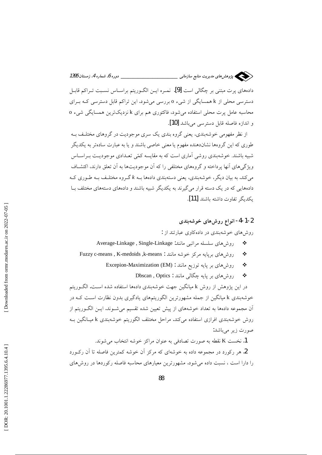

دادههای پرت مبتنی بر چگالی است [9]. نمـره ایــن الگــوریتم براســاس نســبت تــراکم قابــل دسترسی محلی از k همسایگی از شیء o بررسی میشود. این تراکم قابل دسترسی کـه بـرای محاسبه عامل پرت محلی استفاده می شود، فاکتوری هم برای k نزدیکترین همسایگی شیء o و اندازه فاصله قابل دسترسی میباشد [10].

از نظر مفهومی خوشهبندی، یعنی گروه بندی یک سری موجودیت در گروهای مختلـف بـه طوری که این گروهها نشاندهنده مفهوم یا معنی خاصی باشند و یا به عبارت سادهتر به یکدیگر شبیه باشند. خوشهبندی روشی آماری است که به مقایسه کمّی تعـدادی موجودیـت بـراسـاس ویژگی های آنها پرداخته و گروههای مختلفی را که آن موجودیتها به آن تعلق دارند، اکتشــاف می کند. به بیان دیگر، خوشهبندی، یعنی دستهبندی دادهها بــه k گــروه مختلـف بــه طــوری کــه دادههایی که در یک دسته قرار می گیرند به یکدیگر شبیه باشند و دادههای دستههای مختلف بـا يكديگر تفاوت داشته باشند [11].

#### 2-1-4- انواع روشهای خوشهبندی

روش های خوشهبندی در دادهکاوی عبارتند از :

- روش های سلسله مراتبی مانند: Average-Linkage , Single-Linkage  $\frac{1}{2}$
- روش های برپایه مرکز خوشه مانند : Fuzzy c-means, K-medoids, k-means  $\frac{1}{2}$ 
	- روشهای بر پایه توزیع مانند : Excepion-Maximization (EM)  $\frac{1}{2}$ 
		- روشهای بر پایه چگال<sub>ی</sub> مانند : Dbscan , Optics ❖

در این یژوهش از روش k میانگین جهت خوشهبندی دادهها استفاده شده است. الگـوریتم خوشهبندی k میانگین از جمله مشهورترین الگوریتمهای یادگیری بدون نظارت است کـه در آن مجموعه دادهها به تعداد خوشههای از پیش تعیین شده تقسیم میشـوند. ایــن الگــوریتم از روش خوشهبندی افرازی استفاده می کند. مراحل مختلف الگوریتم خوشهبندی k میـانگین بـه صورت زير ميباشد:

1. نخست K نقطه به صورت تصادفي به عنوان مراكز خوشه انتخاب مي شوند.

2. هر رکورد در مجموعه داده به خوشهای که مرکز آن خوشه کمترین فاصله تا آن رکـورد را دارا است ، نسبت داده می شود. مشهورترین معیارهای محاسبه فاصله رکوردها در روش های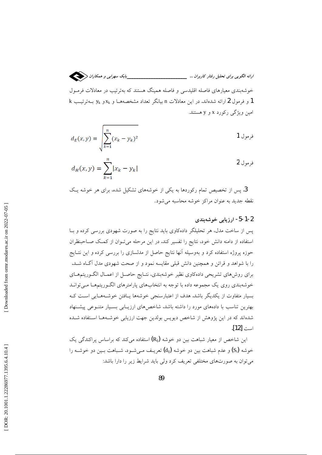خوشهبندی معیارهای فاصله اقلیدسی و فاصله همینگ هستند که بهترتیب در معادلات فرمـول k و فرمول 2 ارائه شدهاند. در این معادلات n بیانگر تعداد مشخصههـا و x<sub>k و Xk</sub> بـهترتیـب امین ویژگی رکورد x و y هستند.

$$
d_E(x, y) = \sqrt{\sum_{k=1}^{n} (x_k - y_k)^2}
$$
 1

$$
d_H(x, y) = \sum_{k=1}^{n} |x_k - y_k|
$$

3. پس از تخصیص تمام رکوردها به یکی از خوشههای تشکیل شده، برای هر خوشه یک نقطه جديد به عنوان مراكز خوشه محاسبه مي شود.

#### 1-2-5- ارزیابی خوشهبندی

پس از ساخت مدل، هر تحلیلگر دادهکاوی باید نتایج را به صورت شهودی بررسی کرده و بـا استفاده از دامنه دانش خود، نتايج را تفسير كند. در اين مرحله مي تـوان از كمـك صــاحبنظران ۔<br>حوزه پروژه استفاده کرد و بهوسیله آنها نتایج حاصل از مدلسازی را بررسی کرده و این نتـایج را با شواهد و قرائن و همچنین دانش قبلی مقایسه نمود و از صحت شهودی مدل آگIه شـد. برای روشهای تشریحی دادهکاوی نظیر خوشهبندی، نتـایج حاصـل از اعمـال الگـوریتمهـای خوشهبندی روی یک مجموعه داده با توجه به انتخابهای پارامترهای الگـوریتمهـا مـی توانـد بسیار متفاوت از یکدیگر باشد. هدف از اعتبارسنجی خوشهها یـافتن خوشـههـایی اسـت کـه بهترین تناسب با دادههای مورد را داشته باشد. شاخص های ارزیـابی بسـیار متنـوعی پیشـنهاد شدهاند که در این پژوهش از شاخص دیویس بولدین جهت ارزیابی خوشـههـا اسـتفاده شـده است [12].

این شاخص از معیار شباهت بین دو خوشه (R<sub>ii</sub>) استفاده می کند که براساس پراکندگی یک خوشه (Si) و عدم شباهت بین دو خوشه (d<sub>ij</sub>) تعریـف مـی.شـود. شـباهت بـین دو خوشـه را می توان به صورتهای مختلفی تعریف کرد ولی باید شرایط زیر را دارا باشد: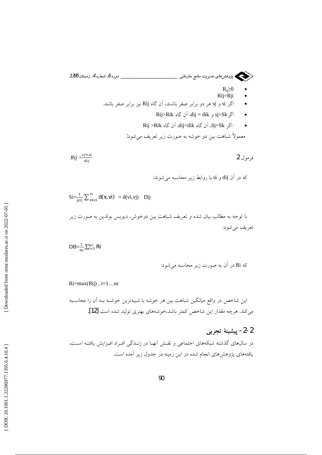معمولاً شباهت بین دو خوشه به صورت زیر تعریف میشود:

$$
Rij = \frac{sj + si}{dij}
$$

که در آن dij و si با روابط زیر محاسبه میشوند:

$$
\mathrm{Si}=\frac{1}{|ci|}\sum_{x\in ci}^{\infty}\mathrm{d}(\mathbf{k},\mathbf{vi})\;=\mathrm{d}(vi,vj)\quad\text{Dij}
$$
 ببا توجه به مطالب بیان شده و تعریف شبامت بین دورخوش، دیویس بولدین به صورت زیر تعریف میشود:

 $DB = \frac{1}{nc} \sum_{i=1}^{nc} \mathbf{R}i$ 

 $Ri = max(Rij)$ ,  $i = 1...nc$ 

این شاخص در واقع میانگین شباهت بین هر خوشه با شبیهترین خوشـه بــه اَن را محاسـبه می کند. هرچه مقدار این شاخص کمتر باشد،خوشههای بهتری تولید شده است [12].

## 2-2- پيشينهٔ تجربي

در سالهای گذشته شبکههای اجتماعی و نقـش آنهـا در زنـدگی افـراد افـزایش یافتـه اسـت. یافتههای پژوهشهای انجام شده در این زمینه در جدول زیر آمده است.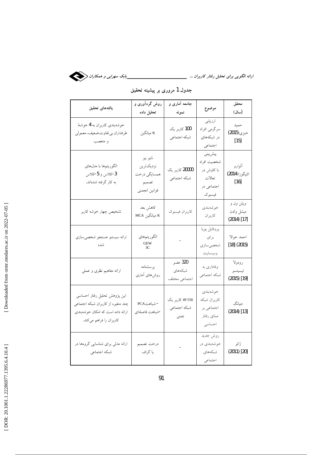

| يافتههاى تحقيق                                                                                                                    | روش گردآوری و<br>تحليل داده                                     | جامعه آماری و<br>نمونه                  | موضوع                                                                  | محقق<br>(سال)                         |
|-----------------------------------------------------------------------------------------------------------------------------------|-----------------------------------------------------------------|-----------------------------------------|------------------------------------------------------------------------|---------------------------------------|
| خوشهبندي كاربران به 4 خوشه:<br>طرفداران بي تفاوت،ضعيف، معمولي<br>و متعصب                                                          | K میانگین                                                       | 100 کاربر یک<br>شبكه اجتماعي            | ارزيابي<br>سرگرمي افراد<br>در شبکههای<br>اجتماعي                       | حميد<br>خبزى(2015)<br>$[15]$          |
| الگوريتمها با مدلهاي<br>3-کلاس و 5-کلاس<br>به کار گرفته شدهاند.                                                                   | نايو بيز<br>نزديكترين<br>همسایگی درخت<br>تصميم<br>قوانين انجمني | 20000 کاربر یک<br>شبكه اجتماعي          | پیشبینی<br>شخصيت افراد<br>با کاوش در<br>تعالات<br>اجتماعی در<br>فيسبوك | ألوارو<br>التيگوزا(2014)<br>$[16]$    |
| تشخيص چهار خوشه كاربر                                                                                                             | كاهش بعد<br>K ميانگين MCA                                       | كاربران فيسبوك                          | خو شەبندى<br>كاربران                                                   | ويلن ون و<br>ميشل ولدن<br>(2014) [17] |
| ارائه سيستم جستجو شخصي سازي<br>شده                                                                                                | الگوريتمهاي<br>GEW<br>3C                                        | $\sim$ $-$                              | پروفايل پويا<br>براي<br>شخصىسازى<br>وبسايت                             | احمد حوالا<br>$[18]$ (2015)           |
| ارائه مفاهیم نظری و عملی                                                                                                          | پرسشنامه<br>روشهای آماری                                        | 320 عضو<br>شبكههاى<br>اجتماعي مختلف     | وفاداری به<br>شبكه اجتماعي                                             | رودولا<br>تيسيتسو<br>$(2015)$ [19]    |
| این پژوهش تحلیل رفتار احساسی<br>چند متغیره از کاربران شبکه اجتماعی<br>ارائه داده است که امکان خوشهبندی<br>كاربران را فراهم مىكند. | - شباهت PCA<br>-شباهت فاصلهاى                                   | 49 556 کاربر یک<br>شبكه اجتماعي<br>چینی | خوشەبندى<br>كاربران شبكه<br>اجتماعي بر<br>مبناى رفتار<br>احساسى        | جيانگ<br>(2014) [13]                  |
| ارائه مدلی برای شناسایی گروهها در<br>شبكه اجتماعي                                                                                 | درخت تصميم<br>يا گراف                                           |                                         | روش جديد<br>خوشەبندى در<br>شبكههاى<br>اجتماعي                          | ژائو<br>(2011) [20]                   |

جدول 1 مروری بر پیشینه تحقیق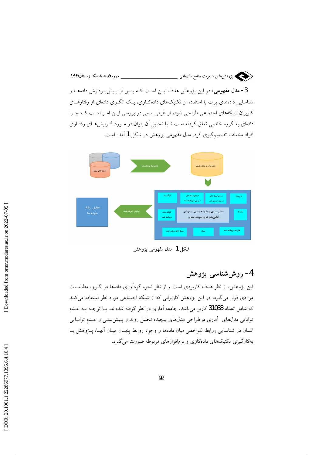

3- مدل مفهومی: در این پژوهش هدف ایـن اسـت کـه پـس از پـیشپـردازش دادههــا و شناسایی دادههای پرت با استفاده از تکنیکهای دادهکاوی، یک الگـوی دادهای از رفتارهـای کاربران شبکههای اجتماعی طراحی شود. از طرفی سعی در بررسی ایـن امـر اسـت کـه چـرا دادهای به گروه خاصی تعلق گرفته است تا با تحلیل آن بتوان در مـورد گـرایشهـای رفتـاری افراد مختلف تصمیمگیری کرد. مدل مفهومی یزوهش در شکل 1 آمده است.



شکل 1 مدل مفھومی پژوهش

4- روششناسی یژوهش

این پژوهش، از نظر هدف کاربردی است و از نظر نحوه گردآوری دادهها در گـروه مطالعــات موردی قرار میگیرد. در این پژوهش کاربرانی که از شبکه اجتماعی مورد نظر استفاده میکنند که شامل تعداد 31033 کاربر میباشد، جامعه آماری در نظر گرفته شدهاند. بــا توجــه بــه عــدم توانایی مدلهای آماری درطراحی مدلهای پیچیده تحلیل روند و پـیش پینـی و عـدم توانـایی انسان در شناسایی روابط غیرخطی میان دادهها و وجود روابط پنهـان میـان آنهـا، پـژوهش بـا بهکارگیری تکنیکهای دادهکاوی و نرمافزارهای مربوطه صورت میگیرد.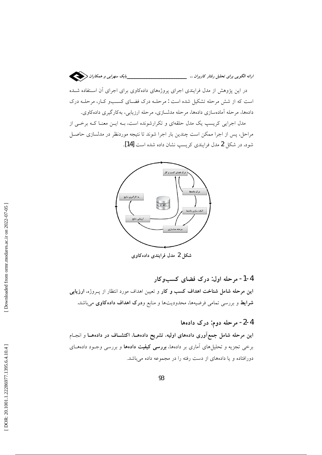

در این پژوهش از مدل فرایندی اجرای پروژههای دادهکاوی برای اجرای آن استفاده شـده است که از شش مرحله تشکیل شده است : مرحلـه درک فضـای کسـبو کـار، مرحلـه درک دادهها، مرحله آمادهسازي دادهها، مرحله مدلسازي، مرحله ارزيابي، بهكارگيري دادهكاوي.

مدل اجرایی کریسپ یک مدل حلقهای و تکرارشونده است، بـه ایــن معنــا کــه برخــی از مراحل، پس از اجرا ممکن است چندین بار اجرا شوند تا نتیجه موردنظر در مدلسازی حاصـل شود. در شکل 2 مدل فرایندی کریسب نشان داده شده است [14].



شکل 2 مدل فرایندی دادهکاوی

4-1- مرحله اول: درک فضای کسبوکار این مرحله شامل شناخت اهداف کسب و کار و تعیین اهداف مورد انتظار از پــروژه، ا**رزیابی شرایط** و بررسی تمامی فرضیهها، محدودیتها و منابع و**درک اهداف دادهکاوی** میباشد.

## 4-2- مرحله دوم: درک دادهها

این مرحله شامل جمعآوری دادههای اولیه، تشریح دادههـا، اکتشــاف در دادههــا و انجــام برخی تجزیه و تحلیلهای آماری بر دادهها، **بررسی کیفیت دادهها** و بررسی وجـود دادههـای دورافتاده و یا دادههای از دست رفته را در مجموعه داده میباشد.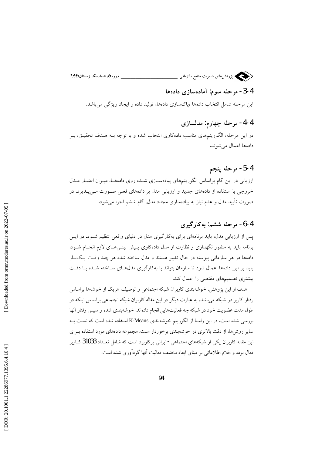سنسکی پژوهش های مدیریت منابع سازمانی \_ \_\_ دوره 6، شماره 4، زمستان 1395

## 4-3- مرحله سوم: آمادهسازی دادهها

این مرحله شامل انتخاب دادهها ،پاکسازی دادهها، تولید داده و ایجاد ویژگی میباشد.

### 4-4- مرحله چهارم: مدلسازی

در این مرحله، الگوریتمهای مناسب دادهکاوی انتخاب شده و با توجه بـه هــدف تحقیــق، بــر دادهها اعمال مي شوند.

#### 4-5- مرحله ينجم

ارزیابی در این گام براساس الگوریتمهای پیادهسـازی شــده روی دادههـا، میـزان اعتبـار مــدل خروجی با استفاده از دادههای جدید و ارزیابی مدل بر دادههای فعلی صورت میپذیرد. در صورت تأیید مدل و عدم نیاز به پیادهسازی مجدد مدل، گام ششم اجرا میشود.

### 4-6- مرحله ششم: به کارگیری

پس از ارزیابی مدل، باید برنامهای برای بهکارگیری مدل در دنیای واقعی تنظیم شـود. در ایـن برنامه باید به منظور نگهداری و نظارت از مدل دادهکاوی پیش بینـی هـای لازم انجـام شـود. دادهها در هر سازمانی پیوسته در حال تغییر هستند و مدل ساخته شده هر چند وقت یکبار باید بر این دادهها اعمال شود تا سازمان بتواند با بهکارگیری مدلهای ساخته شـده بـا دقـت بیشتری تصمیمهای مقتضی را اعمال کند.

هدف از این پژوهش، خوشهبندی کاربران شبکه اجتماعی و توصیف هریک از خوشهها براساس رفتار کاربر در شبکه میباشد، به عبارت دیگر در این مقاله کاربران شبکه اجتماعی براساس اینکه در طول مدت عضويت خود در شبكه چه فعاليتهايي انجام دادهاند، خوشهبندي شده و سيس رفتار آنها بررسی شده است. در این راستا از الگوریتم خوشهبندی K-Means استفاده شده است که نسبت بـه سایر روشها، از دقت بالاتری در خوشهبندی برخوردار است. مجموعه دادههای مورد استفاده بـرای این مقاله کاربران یکی از شبکههای اجتماعی- ایرانی پرکاربرد است که شامل تعـداد 31033 کـاربر فعال بوده و اقلام اطلاعاتی بر مبنای ابعاد مختلف فعالیت آنها گردآوری شده است.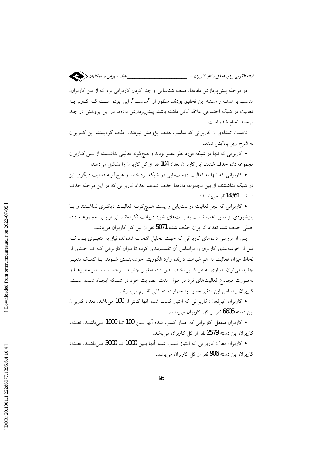

در مرحله پیش پردازش دادهها، هدف شناسایی و جدا کردن کاربرانی بود که از بین کاربران، مناسب با هدف و مسئله این تحقیق بودند. منظور از "مناسب"، این بوده است کـه کــاربر بــه فعالیت در شبکه اجتماعی علاقه کافی داشته باشد. پیش پردازش دادهها در این پژوهش در چند مرحله انجام شده است:

نخست تعدادی از کاربرانی که مناسب هدف پژوهش نبودند، حذف گردیدند. این کـاربران به شرح زير پالايش شدند:

• کاربرانی که تنها در شبکه مورد نظر عضو بودند و هیچگونه فعالیتی نداشــتند، از بـین کــاربران مجموعه داده حذف شدند. این کاربران تعداد 104 نفر از کل کاربران را تشکیل میدهند؛

● کاربرانی که تنها به فعالیت دوست،یابی در شبکه پرداختند و هیچگونه فعالیت دیگری نیز در شبکه نداشتتند، از بین مجموعه دادهها حذف شدند. تعداد کاربرانی که در این مرحله حذف شدند، 14861نفر میباشند؛

• کاربرانی که بجز فعالیت دوست یابی و پست هـیچگونـه فعالیـت دیگـری نداشـتند و یــا بازخوردی از سایر اعضا نسبت به پستهای خود دریافت نکردهاند، نیز از بـین مجموعــه داده اصلی حذف شد. تعداد کاربران حذف شده 5071 نفر از بین کل کاربران میباشد.

پس از بررسی دادههای کاربرانی که جهت تحلیل انتخاب شدهاند، نیاز به متغیـری بـود کـه قبل از خوشهبندی کاربران را براساس آن تقسیمبندی کرده تا بتوان کاربرانی کـه تـا حـدی از لحاظ میزان فعالیت به هم شباهت دارند، وارد الگوریتم خوشهبنـدی شـوند. بـا کمـک متغیـر جدید میتوان امتیازی به هر کاربر اختصاص داد. متغیـر جدیـد بـرحسـب سـایر متغیرهـا و بهصورت مجموع فعالیتهای فرد در طول مدت عضویت خود در شـبکه ایجـاد شـده اسـت. کاربران براساس این متغیر جدید به چهار دسته کلی تقسیم می شوند.

• کاربران غیرفعال: کاربرانی که امتیاز کسب شده آنها کمتر از 100 میباشد. تعداد کاربران این دسته 6605 نفر از کل کاربران میباشد.

• كاربران منفعل: كاربراني كه امتياز كسب شده آنها بسين 100 تــا 1000 مــى باشــد. تعــداد كاربران اين دسته 2579 نفر از كل كاربران مىباشد.

• كاربران فعال: كاربراني كه امتياز كسب شده آنها بـين 1000 تــا 3000 مـيباشــد. تعــداد کاربران این دسته 906 نفر از کل کاربران میباشد.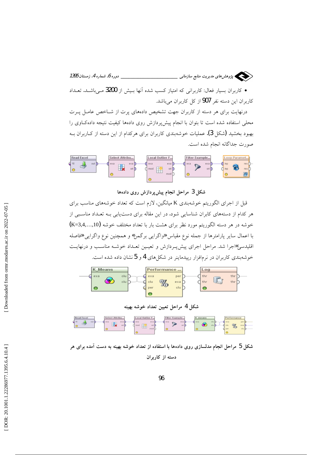

• کاربران بسیار فعال: کاربرانی که امتیاز کسب شده آنها بـیش از 3200 مـیباشــد. تعــداد کاربران این دسته نفر 907 از کل کاربران میباشد.

درنهایت برای هر دسته از کاربران جهت تشخیص دادههای پرت از شـاخص عامـل پـرت محلی استفاده شده است تا بتوان با انجام پیش پردازش روی دادهها کیفیت نتیجه دادهکاوی را بهبود بخشید (شکل 3). عملیات خوشهبندی کاربران برای هرکدام از این دسته از کـاربران بــه صورت جداگانه انجام شده است.



#### شکل 3 مراحل انجام پیش پردازش روی دادهها

قبل از اجرای الگوریتم خوشهبندی K میانگین، لازم است که تعداد خوشههای مناسب برای هر کدام از دستههای کابران شناسایی شود. در این مقاله برای دستیابی بـه تعـداد مناسـبی از خوشه در هر دسته الگوریتم مورد نظر برای هشت بار با تعداد مختلف خوشه (K=3,4,...,10) با اعمال سایر پارامترها از جمله نوع مقیاس «واگرایی برگمن» و همچنین نوع واگرایی «فاصله اقلیدسی»اجرا شد. مراحل اجرای پیش پـردازش و تعیـین تعـداد خوشـه مناسـب و درنهایـت خوشهبندی کاربران در نرمافزار ریبدماینر در شکل های 4 و 5نشان داده شده است.



شكل 4 مراحل تعيين تعداد خوشه بهينه



شکل 5 مراحل انجام مدلسازی روی دادهها با استفاده از تعداد خوشه بهینه به دست آمده برای هر دسته از کاربران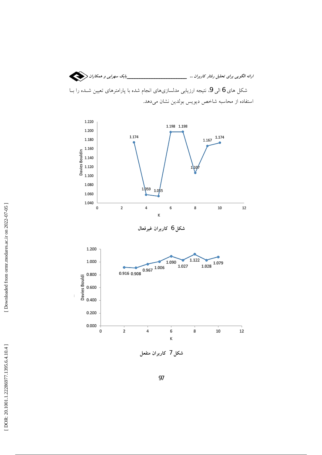





شکل 7 کاربران منفعل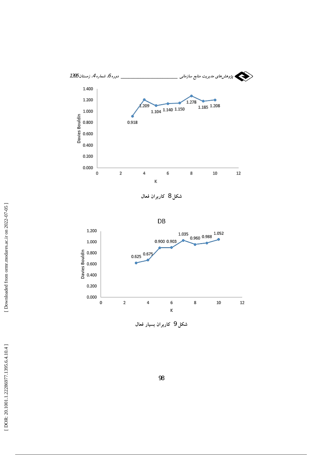

شکل 8 کاربران فعال

 $DB$ 



شکل 9 کاربران بسیار فعال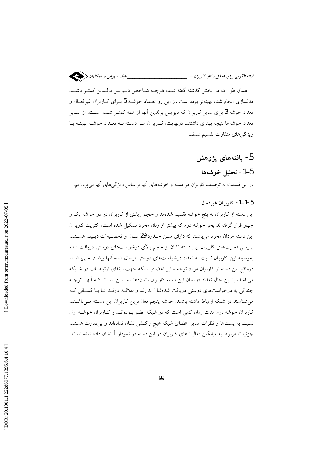

همان طور که در بخش گذشته گفته شـد، هرچــه شــاخص ديــويس بولــدين کمتــر باشــد، مدلسازی انجام شده بهینهتر بوده است .از این رو تعـداد خوشـه 5 بـرای کــاربران غیرفعــال و تعداد خوشه 3 برای سایر کاربران که دیویس بولدین آنها از همه کمتـر شـده اسـت، از سـایر تعداد خوشهها نتیجه بهتری داشتند. درنهایت، کـاربران هـر دسـته بـه تعـداد خوشـه بهینـه بـا ویژگی های متفاوت تقسیم شدند.

## 5- يافتەھاي پژوهش

#### 5–1- تحليل خوشەها

در این قسمت به توصیف کاربران هر دسته و خوشههای آنها براساس ویژگیهای آنها می پردازیم.

#### 5-1-1- كاربران غيرفعال

این دسته از کاربران به پنج خوشه تقسیم شدهاند و حجم زیادی از کاربران در دو خوشه یک و چهار قرار گرفتهاند بجز خوشه دوم که بیشتر از زنان مجرد تشکیل شده است، اکثریت کاربران این دسته مردان مجرد میباشند که دارای سـن حـدود 29 سـال و تحصـیلات دیـیلم هسـتند. بررسی فعالیتهای کاربران این دسته نشان از حجم بالای درخواستهای دوستی دریافت شده بهوسیله این کاربران نسبت به تعداد درخواستهای دوستی ارسال شده آنها بیشتر می باشد. درواقع این دسته از کاربران مورد توجه سایر اعضای شبکه جهت ارتقای ارتباطـات در شـبکه می باشد. با این حال تعداد دوستان این دسته کاربران نشاندهنـده ایــن اسـت کـه آنهـا توجـه چندانی به درخواستهای دوستی دریافت شدهشان ندارند و علاقـه دارنـد تـا بـا کسـانی کـه می شناسند در شبکه ارتباط داشته باشند. خوشه پنجم فعالترین کاربران این دسته مـی باشـند، کاربران خوشه دوم مدت زمان کمی است که در شبکه عضو بودهانــد و کــاربران خوشــه اول نسبت به پستها و نظرات سایر اعضای شبکه هیچ واکنشی نشان ندادهاند و بی تفاوت هستند. جزئیات مربوط به میانگین فعالیتهای کاربران در این دسته در نمودار 1 نشان داده شده است.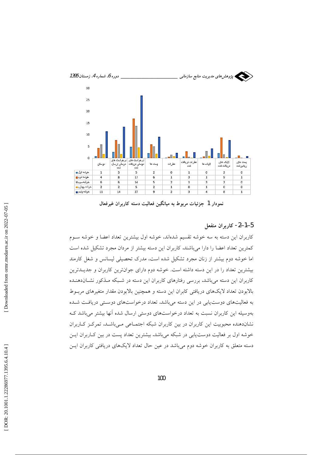

نمودار 1 جزئيات مربوط به ميانگين فعاليت دسته كاربران غيرفعال

#### 5–1–2- كاربران منفعل

کاربران این دسته به سه خوشه تقسیم شدهاند، خوشه اول بیشترین تعداد اعضا و خوشه ســوم كمترين تعداد اعضا را دارا مى باشند. كاربران اين دسته بيشتر از مردان مجرد تشكيل شده است اما خوشه دوم بیشتر از زنان مجرد تشکیل شده است، مدرک تحصیلی لیسانس و شغل کارمند بیشترین تعداد را در این دسته داشته است. خوشه دوم دارای جوانترین کاربران و جدیــدترین کاربران این دسته می باشد. بررسی رفتارهای کاربران این دسته در شـبکه مـذکور نشـاندهنـده بالابودن تعداد لايکهاى دريافتى كابران اين دسته و همچنين بالابودن مقدار متغيرهاى مربــوط به فعالیتهای دوست یابی در این دسته میباشد. تعداد درخواستهای دوستی دریافت شـده بهوسیله این کاربران نسبت به تعداد درخواستهای دوستی ارسال شده آنها بیشتر میباشد ک نشاندهنده محبوبیت این کاربران در بین کاربران شبکه اجتمـاعی مـیباشـد. تمرکـز کـاربران خوشه اول بر فعالیت دوست یابی در شبکه میباشد. بیشترین تعداد پست در بین ک اربران ایسن دسته متعلق به کاربران خوشه دوم میباشد در عین حال تعداد لایکهای دریافتی کاربران ایـن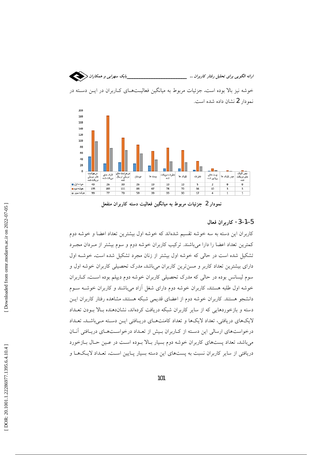



نمودار 2 جزئيات مربوط به ميانگين فعاليت دسته كاربران منفعل

#### 5-1-3- كاربران فعال

کاربران این دسته به سه خوشه تقسیم شدهاند که خوشه اول بیشترین تعداد اعضا و خوشه دوم کمترین تعداد اعضا را دارا میباشند. ترکیب کاربران خوشه دوم و سوم بیشتر از مـردان مجـرد تشکیل شده است در حالی که خوشه اول بیشتر از زنان مجرد تشکیل شده است. خوشـه اول دارای بیشترین تعداد کاربر و مسن ترین کاربران می باشد. مدرک تحصیلی کاربران خوشه اول و سوم لیسانس بوده در حالی که مدرک تحصیلی کاربران خوشه دوم دیپلم بوده است. کـاربران خوشه اول طلبه هستند. کاربران خوشه دوم دارای شغل آزاد میباشند و کاربران خوشـه سـوم دانشجو هستند. کاربران خوشه دوم از اعضای قدیمی شبکه هستند. مشاهده رفتار کاربران ایــز دسته و بازخوردهایی که از سایر کاربران شبکه دریافت کردهاند، نشاندهنده بالا بـودن تعـداد لایکهای دریافتی، تعداد لایکها و تعداد کامنتهـای دریـافتی ایــن دســته مــیباشــد. تعــداد درخواستهای ارسالی این دسته از کاربران بیش از تعداد درخواستهای دریافتی آنان میباشد. تعداد پستهای کاربران خوشه دوم بسیار بـالا بـوده اسـت در عـین حـال بـازخورد دریافتی از سایر کاربران نسبت به پستهای این دسته بسیار پـایین اسـت. تعـداد لایـکهـا و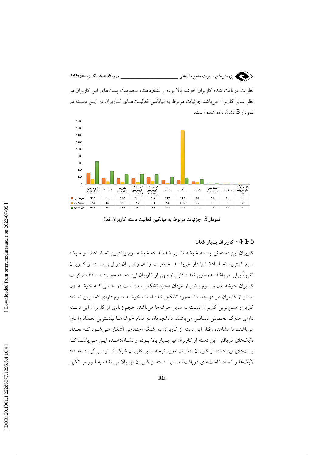سنسکی پژوهش های مدیریت منابع سازمانی \_ دوره 6. شماره 4. زمستان 1395 نظرات دریافت شده کاربران خوشه بالا بوده و نشاندهنده محبوبیت پستهای این کاربران در نظر سایر کاربران میباشد.جزئیات مربوط به میانگین فعالیــتهــای کــاربران در ایــن دســته در نمودار 3 نشان داده شده است.



نمودار 3 جزئیات مربوط به میانگین فعالیت دسته کاربران فعال

#### 5-1-4- كاربران بسيار فعال

کاربران این دسته نیز به سه خوشه تقسیم شدهاند که خوشه دوم بیشترین تعداد اعضا و خوشه سوم کمترین تعداد اعضا را دارا میباشند. جمعیت زنبان و مـردان در ایـن دسـته از کباربران تقریباً برابر میباشد. همچنین تعداد قابل توجهی از کاربران این دسـته مجـرد هسـتند. ترکیـب کاربران خوشه اول و سوم بیشتر از مردان مجرد تشکیل شده است در حـالی کـه خوشـه اول بیشتر از کاربران هر دو جنسیت مجرد تشکیل شده است. خوشــه ســوم دارای کمتـرین تعــداد کاربر و مسنترین کاربران نسبت به سایر خوشهها میباشد. حجم زیادی از کاربران این دسته دارای مدرک تحصیلی لیسانس میباشند. دانشجویان در تمام خوشههـا بیشـترین تعـداد را دارا میباشند. با مشاهده رفتار این دسته از کاربران در شبکه اجتماعی اَشکار مـیشـود کـه تعـداد لایکهای دریافتی این دسته از کاربران نیز بسیار بالا بـوده و نشـاندهنـده ایـن مـیباشـد کـه پستهای این دسته از کاربران بهشدت مورد توجه سایر کاربران شبکه قـرار مـی گیـرد. تعـداد لایکها و تعداد کامنتهای دریافت شده این دسته از کاربران نیز بالا میباشد. بهطـور میـانگین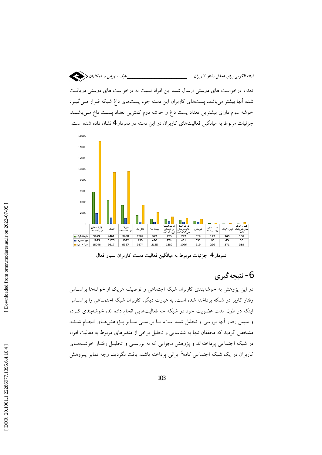



نمودار 4 جزئیات مربوط به میانگین فعالیت دست کاربران بسیار فعال

## 6- نتيجه گيري

در این پژوهش به خوشهبندی کاربران شبکه اجتماعی و توصیف هریک از خوشهها براسـاس رفتار كاربر در شبكه يرداخته شده است. به عبارت ديگر، كاربران شبكه اجتمــاعي را براســاس اینکه در طول مدت عضویت خود در شبکه چه فعالیتهایی انجام داده اند، خوشهبندی کرده و سپس رفتار آنها بررسی و تحلیل شده است. بـا بررسـی سـایر پـژوهشهـای انجـام شـده، مشخص گردید که محققان تنها به شناسایی و تحلیل برخی از متغیرهای مربوط به فعالیت افراد در شبکه اجتماعی پرداختهاند و پژوهش مجزایی که به بررسـی و تحلیـل رفتـار خوشـههـای کاربران در یک شبکه اجتماعی کاملاً ایرانی پرداخته باشد، یافت نگردید. وجه تمایز پـژوهش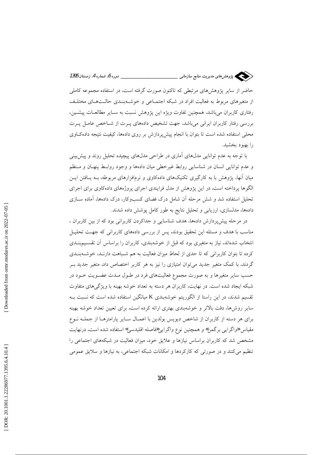

از متغیرهای مربوط به فعالیت افراد در شبکه اجتمـاعی و خوشــهبنـدی حالـتهـای مختلـف رفتاری کاربران میباشد. همچنین تفاوت ویژه این پژوهش نسبت به سـایر مطالعـات پیشــین، بررسی رفتار کاربران ایرانی میباشد. جهت تشخیص دادههای پـرت از شـاخص عامـل پـرت محلی استفاده شده است تا بتوان با انجام پیش پردازش بر روی دادهها، کیفیت نتیجه دادهکاوی را بهبود بخشید.

با توجه به عدم توانایی مدلهای آماری در طراحی مدلهای پیچیده تحلیل روند و پیش بینی و عدم توانایی انسان در شناسایی روابط غیرخطی میان دادهها و وجود روابـط پنهـان و مـنظم میان آنها، پژوهش با به کارگیری تکنیکهای دادهکاوی و نرمافزارهای مربوطه، بـه پـافتن ایــن الگوها پرداخته است. در این پژوهش از مدل فرایندی اجرای پروژههای دادهکاوی برای اجرای تحلیل استفاده شد و شش مرحله آن شامل درک فضای کسبوکار، درک دادهها، آماده ســازی دادهها، مدلسازی، ارزیابی و تحلیل نتایج به طور کامل پوشش داده شدند.

در مرحله پیش پردازش دادهها، هدف شناسایی و جداکردن کاربرانی بود که از بین کاربران ، مناسب با هدف و مسئله این تحقیق بودند. پس از بررسی دادههای کاربرانی که جهت تحلیـل انتخاب شدهاند، نیاز به متغیری بود که قبل از خوشهبندی، کاربران را براساس آن تقسـیمبنــدی کرده تا بتوان کاربرانی که تا حدی از لحاظ میزان فعالیت به هم شـباهت دارنـد، خوشـهبنـدی گردند. با کمک متغیر جدید می توان امتیازی را نیز به هر کاربر اختصاص داد. متغیر جدید بـر حسب سایر متغیرها و به صورت مجموع فعالیتهای فرد در طـول مـدت عضـویت خـود در شبکه ایجاد شده است. در نهایت، کاربران هر دسته به تعداد خوشه بهینه با ویژگیهای متفاوت تقسیم شدند. در این راستا از الگوریتم خوشهبندی K میانگین استفاده شده است که نسبت بــه سایر روشها، دقت بالاتر و خوشهبندی بهتری ارائه کرده است. برای تعیین تعداد خوشه بهینه برای هر دسته از کاربران از شاخص دیویس بولدین با اعمـال سـایر پارامترهـا از جملـه نـوع مقياس «واگرايي برگمن» و همچنين نوع واگرايي«فاصله اقليدسي» استفاده شده است. درنهايت مشخص شد که کاربران براساس نیازها و علایق خود، میزان فعالیت در شبکههای اجتماعی را تنظیم می کنند و در صورتی که کارکردها و امکانات شبکه اجتماعی، به نیازها و سلایق عمومی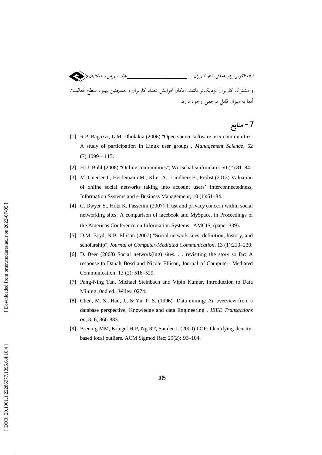و مشترک کاربران نزدیکتر باشد، امکان افزایش تعداد کاربران و همچنین بهبود سطح فعالیت آنها به میزان قابل توجهی وجود دارد.

# 7- منابع

- [1] R.P. Bagozzi, U.M. Dholakia (2006) "Open source software user communities: A study of participation in Linux user groups", Management Science, 52  $(7):1099-1115.$
- [2] H.U. Buhl (2008) "Online communities", Wirtschaftsinformatik 50 (2):81-84.
- [3] M. Gneiser J., Heidemann M., Klier A., Landherr F., Probst (2012) Valuation of online social networks taking into account users' interconnectedness, Information Systems and e-Business Management, 10 (1):61-84.
- [4] C. Dwyer S., Hiltz K. Passerini (2007) Trust and privacy concern within social networking sites: A comparison of facebook and MySpace, in Proceedings of the Americas Conference on Information Systems -AMCIS, (paper 339).
- [5] D.M. Boyd, N.B. Ellison (2007) "Social network sites: definition, history, and scholarship", Journal of Computer-Mediated Communication, 13 (1):210-230.
- [6] D. Beer (2008) Social network(ing) sites. . . revisiting the story so far: A response to Danah Boyd and Nicole Ellison, Journal of Computer- Mediated Communication, 13 (2): 516–529.
- [7] Pang-Ning Tan, Michael Steinbach and Vipin Kumar, Introduction to Data Mining, 0nd ed., Wiley, 0274.
- [8] Chen, M. S., Han, J., & Yu, P. S. (1996) "Data mining: An overview from a database perspective, Knowledge and data Engineering", IEEE Transactions on, 8, 6, 866-883.
- [9] Breunig MM, Kriegel H-P, Ng RT, Sander J. (2000) LOF: Identifying densitybased local outliers. ACM Sigmod Rec; 29(2): 93-104.